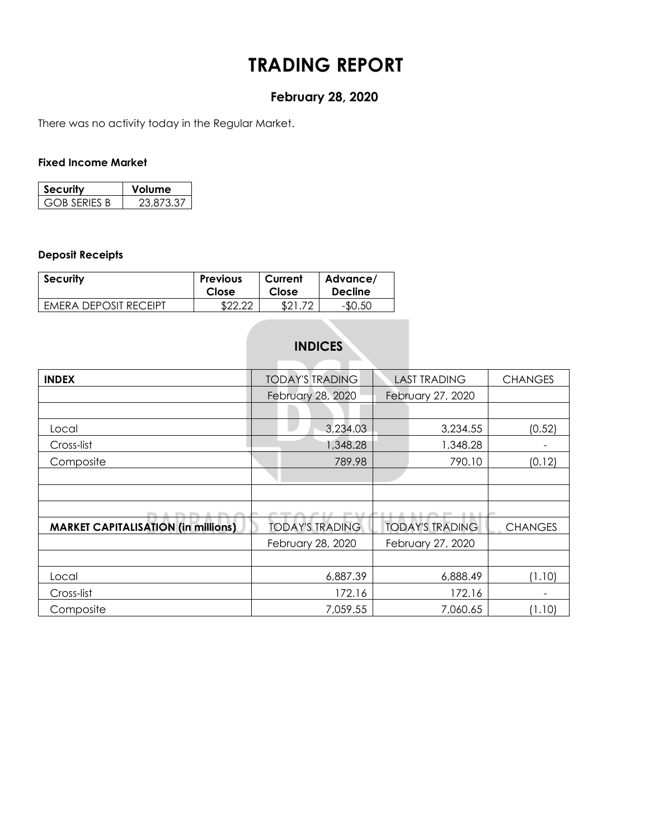# **TRADING REPORT**

# **February 28, 2020**

There was no activity today in the Regular Market.

#### **Fixed Income Market**

| ecurity             | <b>olume</b> |
|---------------------|--------------|
| <b>GOB SERIES B</b> | 23.873.37    |

### **Deposit Receipts**

| <b>Security</b>       | <b>Previous</b> | Current | Advance/       |
|-----------------------|-----------------|---------|----------------|
|                       | Close           | Close   | <b>Decline</b> |
| EMERA DEPOSIT RECEIPT | നേ റവ           | ורים    | -\$0.50        |

# **INDICES**

| <b>INDEX</b>                               | <b>TODAY'S TRADING</b> | <b>LAST TRADING</b>    | <b>CHANGES</b> |
|--------------------------------------------|------------------------|------------------------|----------------|
|                                            | February 28, 2020      | February 27, 2020      |                |
|                                            |                        |                        |                |
| Local                                      | 3,234.03               | 3,234.55               | (0.52)         |
| Cross-list                                 | 1,348.28               | 1,348.28               |                |
| Composite                                  | 789.98                 | 790.10                 | (0.12)         |
|                                            |                        |                        |                |
|                                            |                        |                        |                |
|                                            |                        |                        |                |
| <b>MARKET CAPITALISATION (in millions)</b> | <b>TODAY'S TRADING</b> | <b>TODAY'S TRADING</b> | <b>CHANGES</b> |
|                                            | February 28, 2020      | February 27, 2020      |                |
|                                            |                        |                        |                |
| Local                                      | 6,887.39               | 6,888.49               | (1.10)         |
| Cross-list                                 | 172.16                 | 172.16                 |                |
| Composite                                  | 7,059.55               | 7,060.65               | (1.10)         |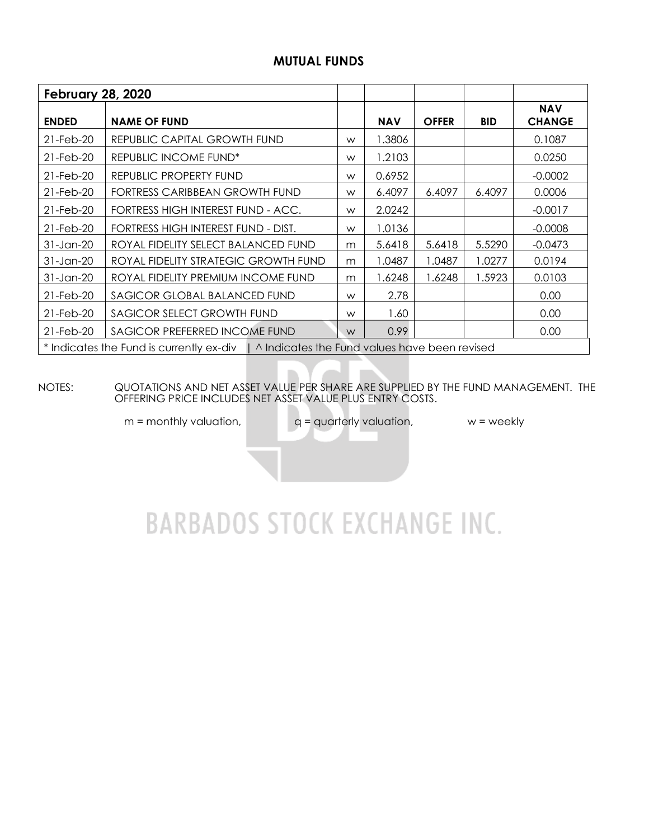## **MUTUAL FUNDS**

| <b>February 28, 2020</b>                   |                                                                                          |   |            |              |            |                             |
|--------------------------------------------|------------------------------------------------------------------------------------------|---|------------|--------------|------------|-----------------------------|
| <b>ENDED</b>                               | <b>NAME OF FUND</b>                                                                      |   | <b>NAV</b> | <b>OFFER</b> | <b>BID</b> | <b>NAV</b><br><b>CHANGE</b> |
| 21-Feb-20                                  | REPUBLIC CAPITAL GROWTH FUND                                                             | W | 1.3806     |              |            | 0.1087                      |
| 21-Feb-20                                  | <b>REPUBLIC INCOME FUND*</b>                                                             | W | 1.2103     |              |            | 0.0250                      |
| 21-Feb-20                                  | REPUBLIC PROPERTY FUND                                                                   | W | 0.6952     |              |            | $-0.0002$                   |
| 21-Feb-20                                  | FORTRESS CARIBBEAN GROWTH FUND                                                           | W | 6.4097     | 6.4097       | 6.4097     | 0.0006                      |
| 21-Feb-20                                  | FORTRESS HIGH INTEREST FUND - ACC.                                                       | W | 2.0242     |              |            | $-0.0017$                   |
| 21-Feb-20                                  | FORTRESS HIGH INTEREST FUND - DIST.                                                      | W | 1.0136     |              |            | $-0.0008$                   |
| $31$ -Jan-20                               | ROYAL FIDELITY SELECT BALANCED FUND                                                      | m | 5.6418     | 5.6418       | 5.5290     | $-0.0473$                   |
| 31-Jan-20                                  | ROYAL FIDELITY STRATEGIC GROWTH FUND                                                     | m | 1.0487     | 1.0487       | 1.0277     | 0.0194                      |
| 31-Jan-20                                  | ROYAL FIDELITY PREMIUM INCOME FUND                                                       | m | 1.6248     | 1.6248       | 1.5923     | 0.0103                      |
| 21-Feb-20                                  | SAGICOR GLOBAL BALANCED FUND                                                             | W | 2.78       |              |            | 0.00                        |
| 21-Feb-20                                  | SAGICOR SELECT GROWTH FUND                                                               |   | 1.60       |              |            | 0.00                        |
| SAGICOR PREFERRED INCOME FUND<br>21-Feb-20 |                                                                                          | W | 0.99       |              |            | 0.00                        |
|                                            | * Indicates the Fund is currently ex-div   ^ Indicates the Fund values have been revised |   |            |              |            |                             |

NOTES: QUOTATIONS AND NET ASSET VALUE PER SHARE ARE SUPPLIED BY THE FUND MANAGEMENT. THE OFFERING PRICE INCLUDES NET ASSET VALUE PLUS ENTRY COSTS.

 $m =$  monthly valuation,  $q =$  quarterly valuation,  $w =$  weekly

# **BARBADOS STOCK EXCHANGE INC.**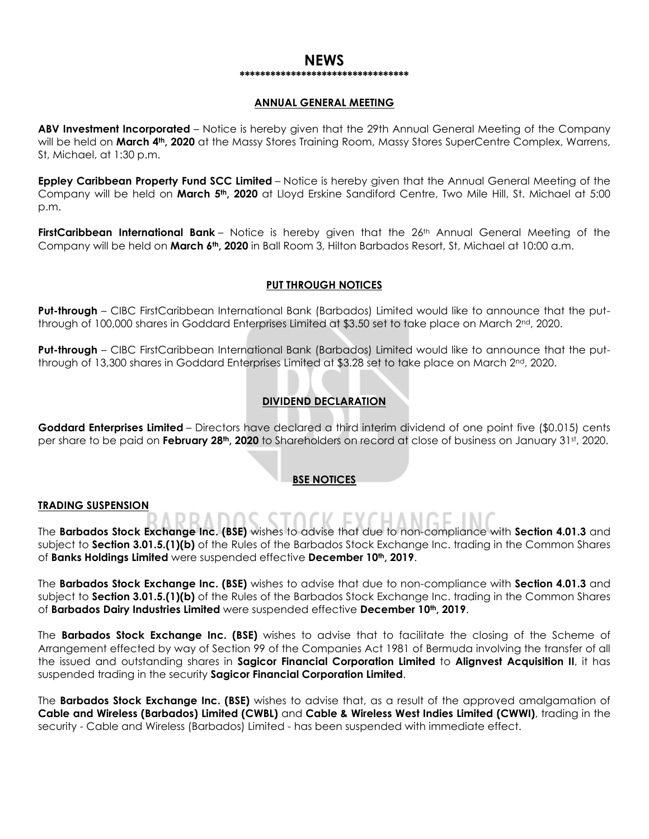#### **NEWS \*\*\*\*\*\*\*\*\*\*\*\*\*\*\*\*\*\*\*\*\*\*\*\*\*\*\*\*\*\*\*\*\***

#### **ANNUAL GENERAL MEETING**

**ABV Investment Incorporated** – Notice is hereby given that the 29th Annual General Meeting of the Company will be held on **March 4th, 2020** at the Massy Stores Training Room, Massy Stores SuperCentre Complex, Warrens, St, Michael, at 1:30 p.m.

**Eppley Caribbean Property Fund SCC Limited** – Notice is hereby given that the Annual General Meeting of the Company will be held on **March 5th, 2020** at Lloyd Erskine Sandiford Centre, Two Mile Hill, St. Michael at 5:00 p.m.

FirstCaribbean International Bank – Notice is hereby given that the 26<sup>th</sup> Annual General Meeting of the Company will be held on **March 6th, 2020** in Ball Room 3, Hilton Barbados Resort, St, Michael at 10:00 a.m.

#### **PUT THROUGH NOTICES**

**Put-through** – CIBC FirstCaribbean International Bank (Barbados) Limited would like to announce that the putthrough of 100,000 shares in Goddard Enterprises Limited at \$3.50 set to take place on March 2nd, 2020.

**Put-through** – CIBC FirstCaribbean International Bank (Barbados) Limited would like to announce that the putthrough of 13,300 shares in Goddard Enterprises Limited at \$3.28 set to take place on March 2nd, 2020.

#### **DIVIDEND DECLARATION**

**Goddard Enterprises Limited** – Directors have declared a third interim dividend of one point five (\$0.015) cents per share to be paid on **February 28th, 2020** to Shareholders on record at close of business on January 31st, 2020.

#### **BSE NOTICES**

#### **TRADING SUSPENSION**

The **Barbados Stock Exchange Inc. (BSE)** wishes to advise that due to non-compliance with **Section 4.01.3** and

subject to **Section 3.01.5.(1)(b)** of the Rules of the Barbados Stock Exchange Inc. trading in the Common Shares of **Banks Holdings Limited** were suspended effective **December 10th, 2019**.

The **Barbados Stock Exchange Inc. (BSE)** wishes to advise that due to non-compliance with **Section 4.01.3** and subject to **Section 3.01.5.(1)(b)** of the Rules of the Barbados Stock Exchange Inc. trading in the Common Shares of **Barbados Dairy Industries Limited** were suspended effective **December 10th, 2019**.

The **Barbados Stock Exchange Inc. (BSE)** wishes to advise that to facilitate the closing of the Scheme of Arrangement effected by way of Section 99 of the Companies Act 1981 of Bermuda involving the transfer of all the issued and outstanding shares in **Sagicor Financial Corporation Limited** to **Alignvest Acquisition II**, it has suspended trading in the security **Sagicor Financial Corporation Limited**.

The **Barbados Stock Exchange Inc. (BSE)** wishes to advise that, as a result of the approved amalgamation of **Cable and Wireless (Barbados) Limited (CWBL)** and **Cable & Wireless West Indies Limited (CWWI)**, trading in the security - Cable and Wireless (Barbados) Limited - has been suspended with immediate effect.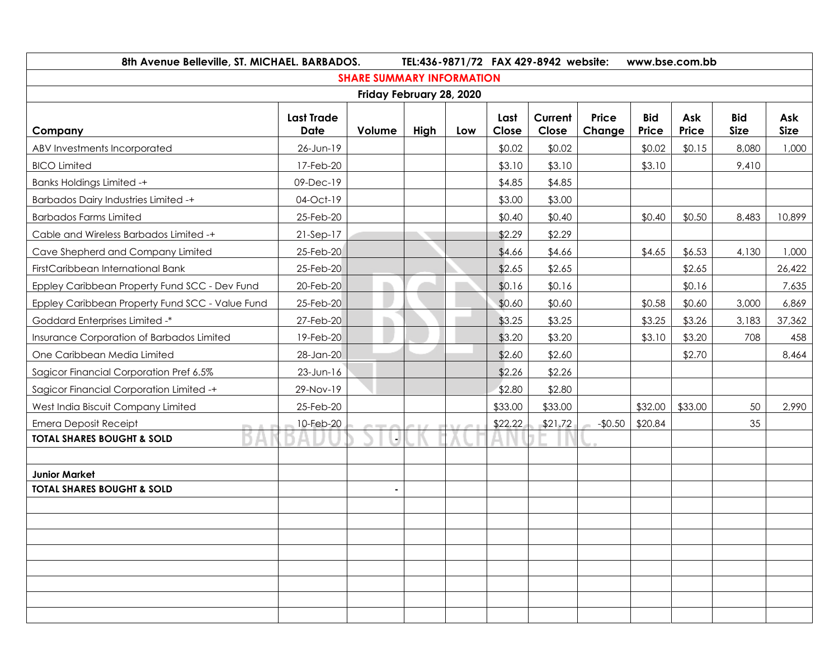| 8th Avenue Belleville, ST. MICHAEL. BARBADOS.   |                                  |                                  |      |     |               | TEL:436-9871/72 FAX 429-8942 website: |                 |                     | www.bse.com.bb |                           |                    |
|-------------------------------------------------|----------------------------------|----------------------------------|------|-----|---------------|---------------------------------------|-----------------|---------------------|----------------|---------------------------|--------------------|
|                                                 |                                  | <b>SHARE SUMMARY INFORMATION</b> |      |     |               |                                       |                 |                     |                |                           |                    |
|                                                 |                                  | Friday February 28, 2020         |      |     |               |                                       |                 |                     |                |                           |                    |
| Company                                         | <b>Last Trade</b><br><b>Date</b> | Volume                           | High | Low | Last<br>Close | Current<br>Close                      | Price<br>Change | <b>Bid</b><br>Price | Ask<br>Price   | <b>Bid</b><br><b>Size</b> | Ask<br><b>Size</b> |
| ABV Investments Incorporated                    | 26-Jun-19                        |                                  |      |     | \$0.02        | \$0.02                                |                 | \$0.02              | \$0.15         | 8,080                     | 1,000              |
| <b>BICO Limited</b>                             | 17-Feb-20                        |                                  |      |     | \$3.10        | \$3.10                                |                 | \$3.10              |                | 9,410                     |                    |
| <b>Banks Holdings Limited -+</b>                | 09-Dec-19                        |                                  |      |     | \$4.85        | \$4.85                                |                 |                     |                |                           |                    |
| <b>Barbados Dairy Industries Limited -+</b>     | 04-Oct-19                        |                                  |      |     | \$3.00        | \$3.00                                |                 |                     |                |                           |                    |
| <b>Barbados Farms Limited</b>                   | 25-Feb-20                        |                                  |      |     | \$0.40        | \$0.40                                |                 | \$0.40              | \$0.50         | 8,483                     | 10,899             |
| Cable and Wireless Barbados Limited -+          | 21-Sep-17                        |                                  |      |     | \$2.29        | \$2.29                                |                 |                     |                |                           |                    |
| Cave Shepherd and Company Limited               | 25-Feb-20                        |                                  |      |     | \$4.66        | \$4.66                                |                 | \$4.65              | \$6.53         | 4,130                     | 1,000              |
| FirstCaribbean International Bank               | 25-Feb-20                        |                                  |      |     | \$2.65        | \$2.65                                |                 |                     | \$2.65         |                           | 26,422             |
| Eppley Caribbean Property Fund SCC - Dev Fund   | 20-Feb-20                        |                                  |      |     | \$0.16        | \$0.16                                |                 |                     | \$0.16         |                           | 7,635              |
| Eppley Caribbean Property Fund SCC - Value Fund | 25-Feb-20                        |                                  |      |     | \$0.60        | \$0.60                                |                 | \$0.58              | \$0.60         | 3,000                     | 6,869              |
| Goddard Enterprises Limited -*                  | 27-Feb-20                        |                                  |      |     | \$3.25        | \$3.25                                |                 | \$3.25              | \$3.26         | 3,183                     | 37,362             |
| Insurance Corporation of Barbados Limited       | 19-Feb-20                        |                                  |      |     | \$3.20        | \$3.20                                |                 | \$3.10              | \$3.20         | 708                       | 458                |
| One Caribbean Media Limited                     | 28-Jan-20                        |                                  |      |     | \$2.60        | \$2.60                                |                 |                     | \$2.70         |                           | 8,464              |
| Sagicor Financial Corporation Pref 6.5%         | $23$ -Jun-16                     |                                  |      |     | \$2.26        | \$2.26                                |                 |                     |                |                           |                    |
| Sagicor Financial Corporation Limited -+        | 29-Nov-19                        |                                  |      |     | \$2.80        | \$2.80                                |                 |                     |                |                           |                    |
| West India Biscuit Company Limited              | 25-Feb-20                        |                                  |      |     | \$33.00       | \$33.00                               |                 | \$32.00             | \$33.00        | 50                        | 2,990              |
| <b>Emera Deposit Receipt</b>                    | 10-Feb-20                        |                                  |      |     | \$22.22       | \$21.72                               | $-$0.50$        | \$20.84             |                | 35                        |                    |
| <b>TOTAL SHARES BOUGHT &amp; SOLD</b>           |                                  |                                  |      |     |               |                                       |                 |                     |                |                           |                    |
|                                                 |                                  |                                  |      |     |               |                                       |                 |                     |                |                           |                    |
| <b>Junior Market</b>                            |                                  |                                  |      |     |               |                                       |                 |                     |                |                           |                    |
| <b>TOTAL SHARES BOUGHT &amp; SOLD</b>           |                                  |                                  |      |     |               |                                       |                 |                     |                |                           |                    |
|                                                 |                                  |                                  |      |     |               |                                       |                 |                     |                |                           |                    |
|                                                 |                                  |                                  |      |     |               |                                       |                 |                     |                |                           |                    |
|                                                 |                                  |                                  |      |     |               |                                       |                 |                     |                |                           |                    |
|                                                 |                                  |                                  |      |     |               |                                       |                 |                     |                |                           |                    |
|                                                 |                                  |                                  |      |     |               |                                       |                 |                     |                |                           |                    |
|                                                 |                                  |                                  |      |     |               |                                       |                 |                     |                |                           |                    |
|                                                 |                                  |                                  |      |     |               |                                       |                 |                     |                |                           |                    |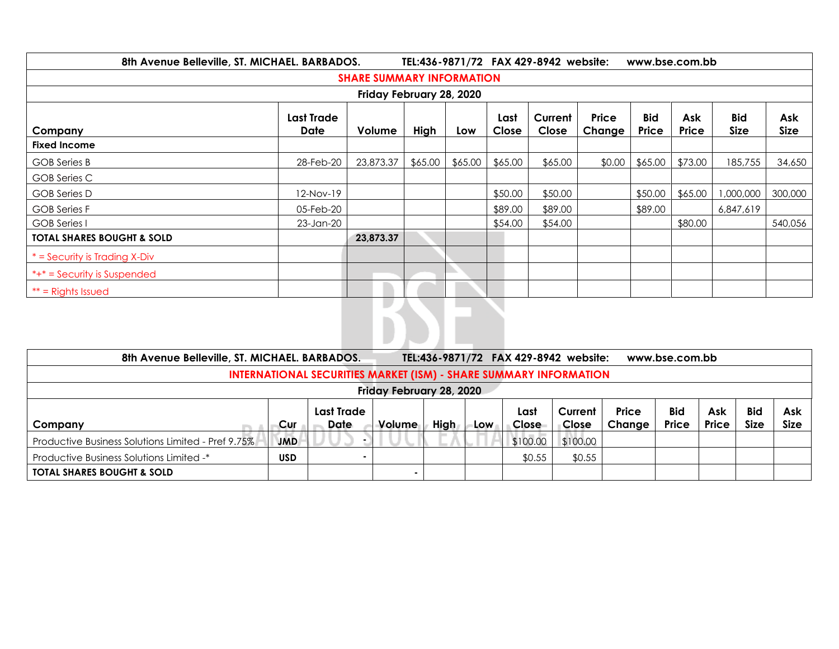| 8th Avenue Belleville, ST. MICHAEL. BARBADOS.<br>TEL:436-9871/72 FAX 429-8942 website:<br>www.bse.com.bb |                    |           |         |         |               |                  |                        |                     |              |                           |             |
|----------------------------------------------------------------------------------------------------------|--------------------|-----------|---------|---------|---------------|------------------|------------------------|---------------------|--------------|---------------------------|-------------|
| <b>SHARE SUMMARY INFORMATION</b>                                                                         |                    |           |         |         |               |                  |                        |                     |              |                           |             |
| Friday February 28, 2020                                                                                 |                    |           |         |         |               |                  |                        |                     |              |                           |             |
| Company                                                                                                  | Last Trade<br>Date | Volume    | High    | Low     | Last<br>Close | Current<br>Close | Price<br><b>Change</b> | <b>Bid</b><br>Price | Ask<br>Price | <b>Bid</b><br><b>Size</b> | Ask<br>Size |
| <b>Fixed Income</b>                                                                                      |                    |           |         |         |               |                  |                        |                     |              |                           |             |
| <b>GOB</b> Series B                                                                                      | 28-Feb-20          | 23,873.37 | \$65.00 | \$65.00 | \$65.00       | \$65.00          | \$0.00                 | \$65.00             | \$73.00      | 185,755                   | 34,650      |
| GOB Series C                                                                                             |                    |           |         |         |               |                  |                        |                     |              |                           |             |
| GOB Series D                                                                                             | 12-Nov-19          |           |         |         | \$50.00       | \$50.00          |                        | \$50.00             | \$65.00      | 1,000,000                 | 300,000     |
| <b>GOB Series F</b>                                                                                      | 05-Feb-20          |           |         |         | \$89.00       | \$89.00          |                        | \$89.00             |              | 6,847,619                 |             |
| <b>GOB</b> Series I                                                                                      | 23-Jan-20          |           |         |         | \$54.00       | \$54.00          |                        |                     | \$80.00      |                           | 540,056     |
| <b>TOTAL SHARES BOUGHT &amp; SOLD</b>                                                                    |                    | 23,873.37 |         |         |               |                  |                        |                     |              |                           |             |
| $*$ = Security is Trading X-Div                                                                          |                    |           |         |         |               |                  |                        |                     |              |                           |             |
| *+* = Security is Suspended                                                                              |                    |           |         |         |               |                  |                        |                     |              |                           |             |
| $**$ = Rights Issued                                                                                     |                    |           |         |         |               |                  |                        |                     |              |                           |             |
|                                                                                                          |                    | I.        |         |         |               |                  |                        |                     |              |                           |             |

| 8th Avenue Belleville, ST. MICHAEL. BARBADOS.                            |            |                           |        |             |     |               | TEL:436-9871/72 FAX 429-8942 website: |                 | www.bse.com.bb             |                     |                    |                    |
|--------------------------------------------------------------------------|------------|---------------------------|--------|-------------|-----|---------------|---------------------------------------|-----------------|----------------------------|---------------------|--------------------|--------------------|
| <b>INTERNATIONAL SECURITIES MARKET (ISM) - SHARE SUMMARY INFORMATION</b> |            |                           |        |             |     |               |                                       |                 |                            |                     |                    |                    |
| Friday February 28, 2020                                                 |            |                           |        |             |     |               |                                       |                 |                            |                     |                    |                    |
| Company                                                                  | Cur        | <b>Last Trade</b><br>Date | Volume | <b>High</b> | Low | Last<br>Close | Current<br><b>Close</b>               | Price<br>Change | <b>Bid</b><br><b>Price</b> | <b>Ask</b><br>Price | <b>Bid</b><br>Size | Ask<br><b>Size</b> |
| <b>Productive Business Solutions Limited - Pref 9.75%</b>                | <b>JMD</b> |                           |        |             |     | \$100.00      | \$100.00                              |                 |                            |                     |                    |                    |
| <b>Productive Business Solutions Limited -*</b>                          | <b>USD</b> |                           |        |             |     | \$0.55        | \$0.55                                |                 |                            |                     |                    |                    |
| <b>TOTAL SHARES BOUGHT &amp; SOLD</b>                                    |            |                           |        |             |     |               |                                       |                 |                            |                     |                    |                    |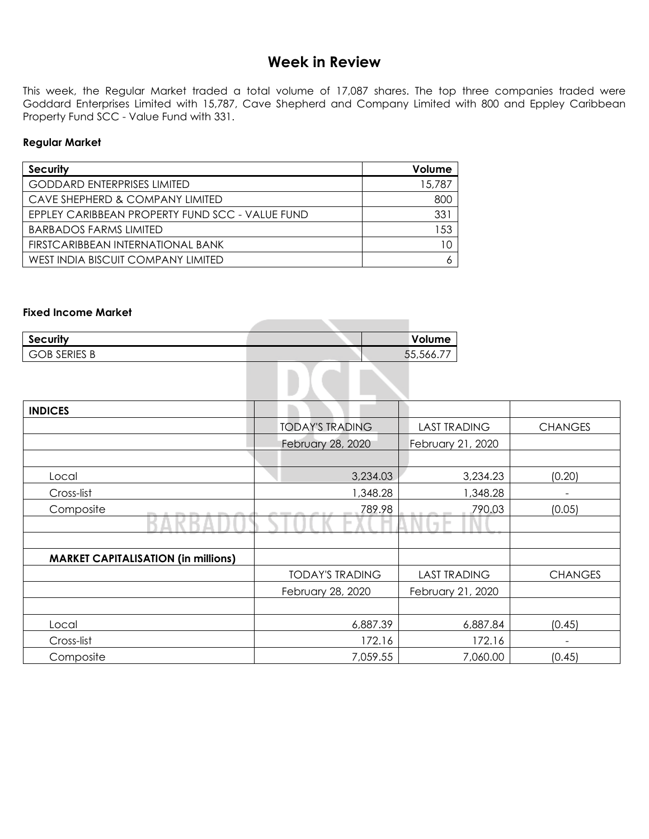# **Week in Review**

This week, the Regular Market traded a total volume of 17,087 shares. The top three companies traded were Goddard Enterprises Limited with 15,787, Cave Shepherd and Company Limited with 800 and Eppley Caribbean Property Fund SCC - Value Fund with 331.

\_\_\_\_\_\_

#### **Regular Market**

| <b>Security</b>                                 | Volume |
|-------------------------------------------------|--------|
| <b>GODDARD ENTERPRISES LIMITED</b>              | 15,787 |
| CAVE SHEPHERD & COMPANY LIMITED                 | 800    |
| EPPLEY CARIBBEAN PROPERTY FUND SCC - VALUE FUND | 331    |
| <b>BARBADOS FARMS LIMITED</b>                   | 153    |
| FIRSTCARIBBEAN INTERNATIONAL BANK               |        |
| WEST INDIA BISCUIT COMPANY LIMITED              |        |

#### **Fixed Income Market**

| Security            | Volume    |
|---------------------|-----------|
| <b>GOB SERIES B</b> | 55,566.77 |
|                     |           |
|                     |           |

| <b>INDICES</b>                             |                        |                              |                 |
|--------------------------------------------|------------------------|------------------------------|-----------------|
|                                            | <b>TODAY'S TRADING</b> | <b>LAST TRADING</b>          | <b>CHANGES</b>  |
|                                            | February 28, 2020      | February 21, 2020            |                 |
|                                            |                        |                              |                 |
| Local                                      | 3,234.03               | 3,234.23                     | (0.20)          |
| Cross-list                                 | 1,348.28               | 1,348.28                     |                 |
| Composite                                  | 789.98                 | 790.03                       | (0.05)          |
|                                            |                        | $\mathcal{L}_{\mathrm{eff}}$ |                 |
|                                            |                        |                              |                 |
| <b>MARKET CAPITALISATION (in millions)</b> |                        |                              |                 |
|                                            | <b>TODAY'S TRADING</b> | <b>LAST TRADING</b>          | <b>CHANGES</b>  |
|                                            | February 28, 2020      | February 21, 2020            |                 |
|                                            |                        |                              |                 |
| Local                                      | 6,887.39               | 6,887.84                     | (0.45)          |
| Cross-list                                 | 172.16                 | 172.16                       | $\qquad \qquad$ |
| Composite                                  | 7,059.55               | 7,060.00                     | (0.45)          |